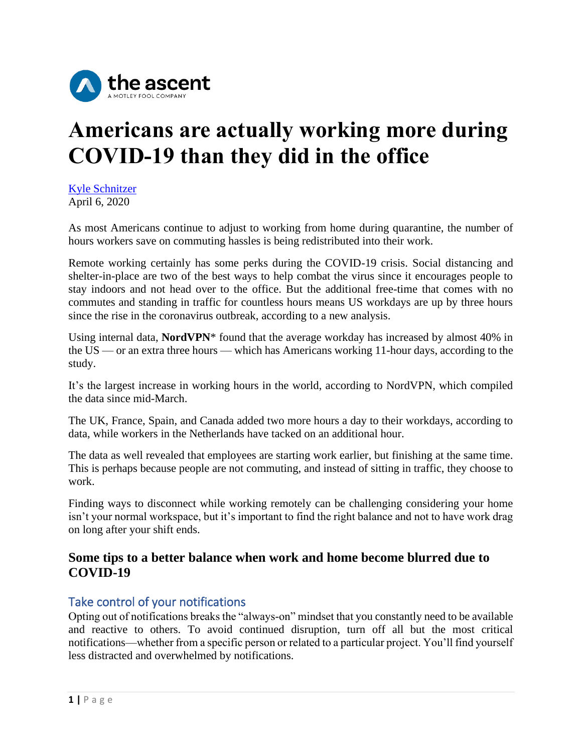

# **Americans are actually working more during COVID-19 than they did in the office**

[Kyle Schnitzer](https://www.theladders.com/career-advice/author/kschnitzer) April 6, 2020

As most Americans continue to adjust to working from home during quarantine, the number of hours workers save on commuting hassles is being redistributed into their work.

Remote working certainly has some perks during the COVID-19 crisis. [Social distancing](http://theladders.com/career-advice/social-distancing-what-is-it-and-why-its-the-best-tool-we-have-to-fight-the-coronavirus/) and [shelter-in-place](https://www.theladders.com/career-advice/this-is-what-shelter-in-place-actually-means) are two of the best ways to help combat the virus since it encourages people to stay indoors and not head over to the office. But the additional free-time that comes with no commutes and standing in traffic for countless hours means US workdays are up by three hours since the rise in the coronavirus outbreak, according to a [new analysis.](https://www.martechcube.com/us-employees-spending-an-extra-3-hrs-working-during-covid-19/)

Using internal data, **NordVPN**\* found that the average workday has increased by almost 40% in the US — or an extra three hours — which has Americans working 11-hour days, according to the study.

It's the largest increase in working hours in the world, according to NordVPN, which compiled the data since mid-March.

The UK, France, Spain, and Canada added two more hours a day to their workdays, according to data, while workers in the Netherlands have tacked on an additional hour.

The data as well revealed that employees are starting work earlier, but finishing at the same time. This is perhaps because people are not commuting, and instead of sitting in traffic, they choose to work.

Finding ways to disconnect while working remotely can be challenging considering your home isn't your normal workspace, but it's important to find the right balance and not to have work drag on long after your shift ends.

### **Some tips to a better balance when work and home become blurred due to COVID-19**

## Take control of your notifications

Opting out of notifications breaks the "always-on" mindset that you constantly need to be available and reactive to others. To avoid continued disruption, turn off all but the most critical notifications—whether from a specific person or related to a particular project. You'll find yourself less distracted and overwhelmed by notifications.